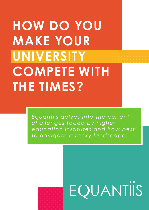# **HOW DO YOU MAKE YOUR UNIVERSITY COMPETE WITH THE TIMES?**

*Equantiis delves into the current challenges faced by higher education institutes and how best to navigate a rocky landscape.*



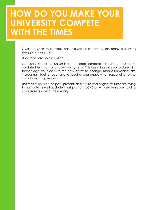### **HOW DO YOU MAKE YOUR UNIVERSITY COMPETE WITH THE TIMES**

Over the years technology has evolved at a pace which many businesses struggle to adapt to.

Universities are no exception.

Generally speaking, universities are large corporations with a myriad of outdated technology and legacy systems. This lag in keeping up to date with technology, coupled with the slow ability to change, means universities are increasingly facing tougher and tougher challenges when responding to the digitally evolving market.

This report looks at the past, present, and future challenges institutes are trying to navigate as well as student insights from UCAS on why students are holding back from applying to university.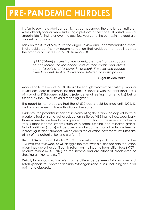## **PRE-PANDEMIC HURDLES**

It's fair to say the global pandemic has compounded the challenges institutes were already facing, while surfacing a plethora of new ones. It hasn't been a smooth ride for institutes over the past few years and the bumps in the road are only set to continue.

Back on the 30th of May 2019, the Augar Review and Recommendations were finally published. The key recommendation that grabbed the headlines was the proposal to cut fees to £7,500 from £9,250.

*"[A £7,500 fee] ensures that no student pays more than what could be considered the reasonable cost of their course and allows better targeting of taxpayer investment. It would also reduce overall student debt and lower one deterrent to participation."*

#### **- Augar Review 2019**

According to the report, £7,500 should be enough to cover the cost of providing lowest cost courses (humanities and social sciences) with the additional costs of providing STEM-based subjects (science, engineering, mathematics) being funded by the university via a teaching grant.

The report further proposes that the £7,500 cap should be fixed until 2022/23 and only increased in line with inflation thereafter.

Evidently, the potential impact of implementing the tuition fee cap will have a greater effect on some higher education institutes (HEI) than others, specifically those where tuition fees form a greater composition of the revenue make-up versus other income streams such as external funding and research grants. Not all Institutes (if any) will be able to make up the shortfall in tuition fees by increasing student numbers, which draws the question how many Institutes are at risk of this potential burning platform?

Using HESA financial data for 2017/18 Equantiis' analysis illustrates that of the 125 institutes reviewed, 43 will struggle the most with a tuition fee cap reduction given they are either significantly reliant on the income from tuition fees (>70%) or quite reliant (50% - 70%) on this income and are either at break even or showing a minor surplus. (1)

Deficit/Surplus calculation refers to the difference between Total Income and Total Expenditure. It does not include "other gains and losses" including actuarial gains and disposals.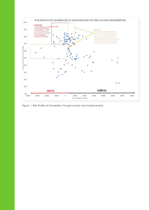

*Figure 1: Risk Profile of Universities if Augar review was implemented.*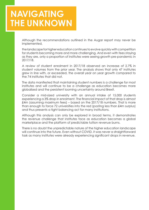### **NAVIGATING THE UNKNOWN**

Although the recommendations outlined in the Augar report may never be implemented,

the landscape for higher education continues to evolve quickly with competition for students becoming more and more challenging. And even with fees staying as they are, only a proportion of institutes were seeing growth pre-pandemic in 2017/18.

A review of student enrolment in 2017/18 observed an increase of 2.7% in student volumes from the prior year. The analysis shows that only 47 institutes grew in line with, or exceeded, the overall year on year growth compared to the 74 institutes that did not.

The data manifested that maintaining student numbers is a challenge for most institutes and will continue to be a challenge as education becomes more globalised and the persistent looming uncertainty around Brexit.

Consider a mid-sized university with an annual intake of 15,000 students experiencing a 3% drop in enrolment. The financial impact of that drop is almost £4m (assuming maximum fees) – based on the 2017/18 numbers. That is more than enough to force 72 universities into the red (posting less than £4m surplus) and thus presents a tight balancing act for many institutions.

Although this analysis can only be explored in broad terms, it demonstrates the revenue challenge that institutes face as education becomes a global marketplace and the platform of predictable tuition revenue burns.

There is no doubt the unpredictable nature of the higher education landscape will continue into the future. Even without COVID, it was never a straightforward task as many institutes were already experiencing significant drops in revenue.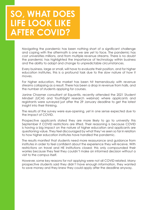### **SO, WHAT DOES LIFE LOOK LIKE AFTER COVID?**

Navigating the pandemic has been nothing short of a significant challenge and coping with the aftermath is one we are yet to face. The pandemic has cost universities millions, and from multiple revenue streams. There is no doubt the pandemic has highlighted the importance of technology within business and the ability to adapt and change to unpredictable circumstances.

Every business, large or small, will have to evaluate their position, and for higher education institutes, this is a profound task due to the slow nature of how it moves.

For higher education, the market has been hit tremendously with revenue streams collapsing as a result. There has been a drop in revenue from halls, and the number of students applying for courses.

Janine Chasmer consultant at Equantiis, recently attended the 2021 Student Mindset (UCAS and YouthSight research webinar) where applicants and registrants were surveyed just after the 29 January deadline to get the latest insight into their thinking.

The results of the survey were eye-opening, yet in one sense expected due to the impact of COVID.

Prospective applicants stated they are more likely to go to university this September if COVID restrictions are lifted. Their reasoning is because COVID is having a big impact on the nature of higher education and applicants are questioning value. They feel discouraged by what they've seen so far in relation to how higher education institutes have handled the pandemic.

The results manifest that students need more reassurance and guidance from institutes in order to feel confident about the experience they will receive. With restrictions on travel and HE institutions closed; this only compounded their worries because they feel they couldn't make an informed decision without a visit to the campus itself.

However, some key reasons for not applying were not all COVID related. Many prospective students said they didn't have enough information, they wanted to save money and they knew they could apply after the deadline anyway.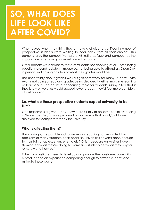### **SO, WHAT DOES LIFE LOOK LIKE AFTER COVID?**

When asked when they think they'd make a choice, a significant number of prospective students were waiting to hear back from all their choices. This demonstrates the competitive nature HE institutes face and compounds the importance of remaining competitive in the space.

Other reasons were similar to those of students not applying at all. Those being questions around lockdown measures, not being able to attend an Open Day in person and having an idea of what their grades would be.

The uncertainty about grades was a significant worry for many students. With exams not going ahead and grades being decided by either machine learning or teachers, it's no doubt a concerning topic for students. Many cited that if they knew universities would accept lower grades, they'd feel more confident about applying.

#### **So, what do these prospective students expect university to be like?**

One response is a given – they know there's likely to be some social distancing in September. Yet, a more profound response was that only 1/3 of those surveyed felt completely ready for university.

#### **What's affecting them?**

Unsurprisingly, the possible lack of in-person teaching has impacted the decisions of many students. Is this because universities haven't done enough to maintain a top experience remotely? Or is it because universities haven't showcased what they're doing to make sure students get what they pay for, remotely or otherwise?

Either way, institutes need to level up and provide their customer base with a product and an experience compelling enough to attract students and mitigate these worries.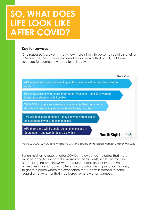### **SO, WHAT DOES LIFE LOOK LIKE AFTER COVID?**

#### **Key takeaways**

One response is a given – they know there's likely to be some social distancing in September. Yet, a more profound response was that only 1/3 of those surveyed felt completely ready for university.



*Figure 2: UCAS, 021 Student Mindset (UCAS and YouthSight research webinar), March 9th 2021* 

For universities to recover after COVID, the evidence indicates that more must be done to alleviate the worries of the students. While the vaccine is promising, no one knows what the future holds and it's imperative that universities cover all bases; to level up and drive the organisation forward; to get to a place where the experience for students is second to none, regardless of whether that is delivered remotely or on campus.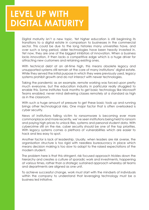### **LEVEL UP WITH DIGITAL MATURITY**

Digital maturity isn't a new topic. Yet higher education is still beginning its transitions to a digital estate in comparison to businesses in the commercial sector. This could be due to the long histories many universities have, and over such a long period, older technologies have been heavily invested in. Yet now, they are one of the biggest inhibitors of innovation. When a business lacks innovation, it then lacks a competitive edge which is a huge driver for attracting new customers and retaining existing ones.

With technical debt at an all-time high, this means obsolete legacy and unsupported systems still remain at the core of many institutions' digital estate. While they served the initial purpose in which they were previously used, legacy systems prohibit growth and do not interact with newer technologies.

Taking the pandemic as an example, remote working was forced upon pretty much everyone, but the education industry in particular really struggled to enable this. Some institutes took months to get basic technology like Microsoft Teams enabled, never mind delivering classes remotely at a standard as high as in the classroom.

With such a huge amount of pressure to get these basic tools up and running brings other technological risks. One major factor that is often overlooked is cyber security.

News of institutions falling victim to ransomware is becoming ever more commonplace and more recently, we've seen institutions being held to ransom and paying high prices to unlock files, systems and personal student data. With cybercrime still on the rise, cyber security should be one of the top priorities. With legacy systems comes a plethora of vulnerabilities which are easier to hack and less easy to spot.

Another factor is lack of leadership. Usually, when leaders are risk averse, the organisation structure is too rigid with needless bureaucracy in place which means decision making is too slow to adapt to the raised expectations of the modern student.

The problem here is that this stringent, risk focused approach trickles down the hierarchy and creates a culture of sporadic work and investments, happening at various times, rather than a strategic sustained approach whereby all teams and departments are aligned as one unit.

To achieve successful change, work must start with the mindsets of individuals within the company to understand that leveraging technology must be a business led initiative.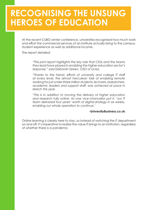### **RECOGNISING THE UNSUNG HEROES OF EDUCATION**

At the recent CUBO winter conference, universities recognised how much work and effort the commercial services of an institute actually bring to the campus, student experience as well as additional income.

The report detailed:

*"This joint report highlights the key role that CIOs and the teams they lead have played in enabling the higher education sector's response," said Deborah Green, CEO of Ucisa.*

*"Thanks to the heroic efforts of university and college IT staff at every level, the almost herculean task of enabling remote working for just under three million students, lecturers, researchers, academic leaders and support staff, was achieved at pace in March this year.*

*"This is in addition to moving the delivery of higher education and research fully online. As one vice-chancellor put it, 'our IT team delivered four years' worth of digital strategy in six weeks, enabling our whole operation to continue.'*

#### **[-UniversityBusiness.co.uk](https://universitybusiness.co.uk/headlines/university-cios-enjoying-new-authority-since-pandemic/)**

Online learning is clearly here to stay, so instead of switching the IT department on and off, it's imperative to realise the value IT brings to an institution, regardless of whether there is a pandemic.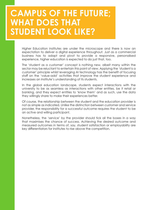### **CAMPUS OF THE FUTURE; WHAT DOES THAT STUDENT LOOK LIKE?**

Higher Education institutes are under the microscope and there is now an expectation to deliver a digital experience throughout. Just as a commercial business has to adapt and pivot to provide a responsive, personalised experience, higher education is expected to do just that, too.

The 'student as a customer' concept is nothing new, albeit many within the sector may be reluctant to entertain this point of view. Applying the 'student is a customer' principle whilst leveraging AI technology has the benefit of focusing staff on the 'value-add' activities that improve the student experience and increases an Institute's understanding of its students.

In the global education landscape, students expect interactions with the university to be as seamless as interactions with other entities, be it retail or banking, and they expect entities to 'know them' and as such, use the data they willingly share to make their experiences better.

Of course, the relationship between the student and the education provider is not as simple as indicated. Unlike the distinction between customer and service provider, the responsibility for a successful outcome requires the student to be an active and willing participant.

Nonetheless, the 'service' by the provider should tick all the boxes in a way that maximises the chance of success. Achieving the desired outcome and measured outcomes in terms of, say, student satisfaction or employability are key differentiators for institutes to rise above the competition.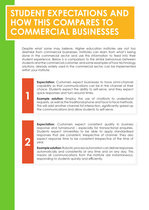### **STUDENT EXPECTATIONS AND HOW THIS COMPARES TO COMMERCIAL BUSINESSES**

**1**

**2**

Despite what some may believe, Higher education institutes are not too dissimilar from commercial businesses. Institutes can learn from what's being done in the commercial sector and use this information to feed into their student experience. Below is a comparison to the similar behaviours between students and the commercial customer, and some examples of how technology solutions, already widely used in the commercial sector, can be implemented within your institute.

> **Expectation:** Customers expect businesses to have omni-channel capability so that communications can be in the channel of their choice. Students expect the ability to self-serve, and they expect quick responses and turn-around times.

> **Example solution:** Employ the use of chatbots to understand requests, as well as the traditional phone and face to face methods. This will add another channel fof interaction, significantly speed up the communications and allow students to self-serve.

> **Expectation:** Customers expect consistent quality in business response and turnaround – especially for transactional enquiries. Students expect Universities to be able to apply standardised responses that are consistent, irrespective of channel. They also expect response time to be consistent irrespective of the time of year.

> **Example solution:** Robotic process automation can deliver responses automatically and consistently at any time and on any day. This means all communications from the institute are instantaneous, responding to students quickly and efficiently.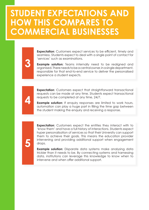### **STUDENT EXPECTATIONS AND HOW THIS COMPARES TO COMMERCIAL BUSINESSES**

**4**

**5**

**3**

**Expectation:** Customers expect services to be efficient, timely and seamless. Students expect to deal with a single point of contact for 'services' such as examinations.

**Example solution:** Teams internally need to be realigned and organised. There needs to be a central owner, in a single department, responsible for that end-to-end service to deliver the personalised experience a student expects.

**Expectation:** Customers expect that straightforward transactional requests can be made at any time. Students expect transactional requests to be completed at any time, 24/7.

**Example solution:** If enquiry responses are limited to work hours, automation can play a huge part in filling the time gap between the student making the enquiry and receiving a response.

**Expectation:** Customers expect the entities they interact with to 'know them' and have a full history of interactions. Students expect hyper personalisation of services so that their University can support them to achieve their goals. This means the education provider intervening and providing additional support when engagement drops.

**Example solution:** Disparate data systems make analysing data trickier than it needs to be. By connecting systems and harnessing data, institutions can leverage this knowledge to know when to intervene and when offer additional support.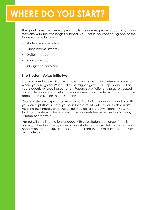# **WHERE DO YOU START?**

The good news is with every great challenge comes greater opportunity. If you resonate with the challenges outlined, you should be considering one of the following ways forward:

- Student voice initiative
- Other income streams
- Digital strategy
- Innovation hub
- Intelligent automation

#### **The Student Voice Initiative**

Start a student voice initiative to gain valuable insight into where you are to where you are going. When sufficient insight is gathered, unpick and define your students by creating personas. Personas are fictional characters based on real life findings and help make sure everyone in the team understands the goals and motivations of the students.

Create a student experience map to outline their experience in dealing with you across platforms. Here, you can then dive into where you think you are meeting their needs, and where you may be falling down. Identify how you think certain steps in the process makes students feel, whether that's happy, irritated or otherwise.

Armed with this information, engage with your student audience. There is nothing richer than the opinions of your students. They will tell you what they need, want and desire, and as such, identifying the future campus becomes much clearer.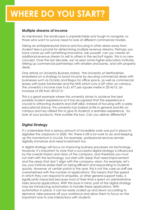# **WHERE DO YOU START?**

#### **Multiple streams of income**

As mentioned, the landscape is unpredictable and tough to navigate, so those who want to survive need to look at different commercial models.

Taking an entrepreneurial stance and focusing in other areas away from student fees is pivotal for determining multiple revenue streams. Perhaps you have come up with something innovative, ask yourself, can you create an additional revenue stream to sell to others in the sector? Again, this is no new concept. Over the last decade, we've seen some higher education institutes striking up commercial partnerships with retailers and banks, and with property deals.

One article on University Business stated, 'the University of Hertfordshire embarked on a strategy to boost income by securing commercial deals with businesses such as Ocado and Regus for office space, as well as commercial leases with bank Santander and the NHS which runs a GP clinic on campus. The university's income rose to £1,477 per square metre in 2014/15, an increase of 6% from 2012/13.'

This is a great example where this university strives to achieve the best possible student experience as it has recognised that the experience is crucial to attracting students and staff alike. Instead of focusing with a solely educational stance, this university has looked at life in general and life on campus and has utilised this to give its students a seamless experience. So, look at your products, think outside the box. Can you deliver differently?

#### **Digital Strategy**

It's undeniable that a serious amount of incredible work was put in place to digitalise the classroom in 2020. Yet, there is still a lot work to do and keeping up this momentum is crucial. For example, professional services remain digitally immature and need investment too.

A digital strategy will focus on improving business processes via technology. However, it's important to note that a successful digital strategy is influenced by the overall mission and vision of the company, and therefore you must not start with the technology, but start with areas that need improvement and the areas that don't align with the company vision. For example, let's say your institute prides itself on being efficient and responding to students quickly. However, at certain points in the year, this is not the case as staff are overwhelmed with the number of applications. This means that the speed in which they can respond to enquiries, or other general support tasks, is significantly impacted because most of their time is spent on administrative tasks around applications. With this issue in mind, part of the digital strategy may be introducing automation to handle these applications. With automation in place, it can be easily scaled up and down according to demand, take pressure off your workforce and allow them to focus on the important one to one interactions with students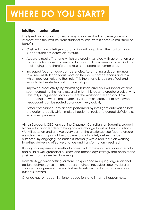# **WHERE DO YOU START?**

#### **Intelligent automation**

Intelligent automation is a simple way to add real value to everyone who interacts with the institute, from students to staff. With it comes a multitude of benefits:

- Cost reduction. Intelligent automation will bring down the cost of many support functions across an institute.
- Accurate results. The tasks which are usually handled with automation are those which involve processing a lot of data. Employees will often find this challenging, and therefore the results are prone to human error.
- Increased focus on core competencies. Automating arduous, manual tasks means staff can focus more on their core competencies and tasks which add real value to their role. This then has a knock-on effect and leads to higher student satisfaction ratings.
- Improved productivity. By minimising human error, you will spend less time spent correcting the mistakes, and in turn this leads to greater productivity. Naturally in higher education, where the workload will ebb and flow depending on what time of year it is, a bot workforce, unlike employee headcount, can be scaled up or down very quickly.
- Better compliance. Any actions performed by intelligent automation bots are easier to audit, which makes it easier to track and correct deficiencies in business processes.

Alistair Sergeant, CEO, and Janine Chasmer, Consultant at Equantiis, support higher education leaders to bring positive change to within their institutions. We will question and analyse every part of the challenge you face to ensure we solve the right part of the problem, and ultimately deliver the best outcome. By engaging the business internally with a real focus on working together, delivering effective change and transformation is realised.

Through our experience, methodologies and frameworks, we focus internally and build a well-grounded business and technology strategy that enables the positive change needed to level up.

From strategy, vision setting, customer experience mapping, organisational design, technology selection, process engineering, cyber security, data and change management, these initiatives transform the things that drive your business forward.

Change has to happen in higher education, and it has to happen now.